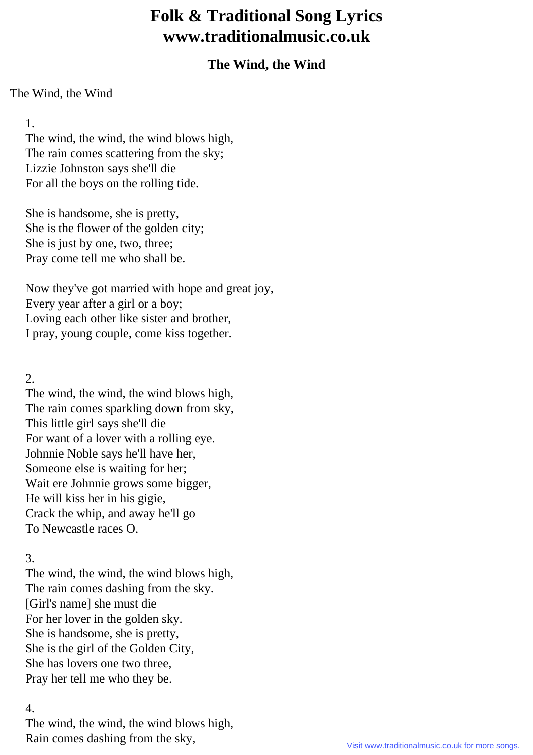# **Folk & Traditional Song Lyrics www.traditionalmusic.co.uk**

# **The Wind, the Wind**

#### The Wind, the Wind

## 1.

 The wind, the wind, the wind blows high, The rain comes scattering from the sky; Lizzie Johnston says she'll die For all the boys on the rolling tide.

 She is handsome, she is pretty, She is the flower of the golden city; She is just by one, two, three; Pray come tell me who shall be.

 Now they've got married with hope and great joy, Every year after a girl or a boy; Loving each other like sister and brother, I pray, young couple, come kiss together.

## 2.

 The wind, the wind, the wind blows high, The rain comes sparkling down from sky, This little girl says she'll die For want of a lover with a rolling eye. Johnnie Noble says he'll have her, Someone else is waiting for her; Wait ere Johnnie grows some bigger, He will kiss her in his gigie, Crack the whip, and away he'll go To Newcastle races O.

# 3.

 The wind, the wind, the wind blows high, The rain comes dashing from the sky. [Girl's name] she must die For her lover in the golden sky. She is handsome, she is pretty, She is the girl of the Golden City, She has lovers one two three, Pray her tell me who they be.

### 4.

 The wind, the wind, the wind blows high, Rain comes dashing from the sky,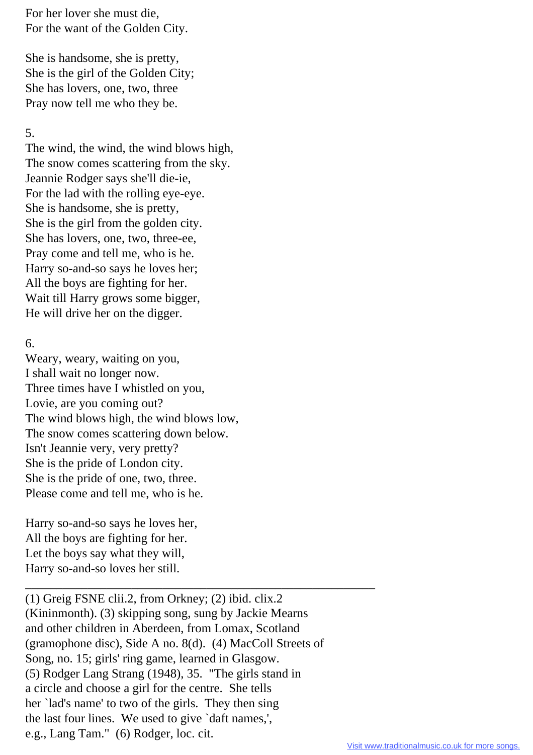For her lover she must die, For the want of the Golden City.

 She is handsome, she is pretty, She is the girl of the Golden City; She has lovers, one, two, three Pray now tell me who they be.

#### 5.

 The wind, the wind, the wind blows high, The snow comes scattering from the sky. Jeannie Rodger says she'll die-ie, For the lad with the rolling eye-eye. She is handsome, she is pretty, She is the girl from the golden city. She has lovers, one, two, three-ee, Pray come and tell me, who is he. Harry so-and-so says he loves her; All the boys are fighting for her. Wait till Harry grows some bigger, He will drive her on the digger.

#### 6.

 Weary, weary, waiting on you, I shall wait no longer now. Three times have I whistled on you, Lovie, are you coming out? The wind blows high, the wind blows low, The snow comes scattering down below. Isn't Jeannie very, very pretty? She is the pride of London city. She is the pride of one, two, three. Please come and tell me, who is he.

 Harry so-and-so says he loves her, All the boys are fighting for her. Let the boys say what they will, Harry so-and-so loves her still.

 (1) Greig FSNE clii.2, from Orkney; (2) ibid. clix.2 (Kininmonth). (3) skipping song, sung by Jackie Mearns and other children in Aberdeen, from Lomax, Scotland (gramophone disc), Side A no. 8(d). (4) MacColl Streets of Song, no. 15; girls' ring game, learned in Glasgow. (5) Rodger Lang Strang (1948), 35. "The girls stand in a circle and choose a girl for the centre. She tells her `lad's name' to two of the girls. They then sing the last four lines. We used to give `daft names,', e.g., Lang Tam." (6) Rodger, loc. cit.

\_\_\_\_\_\_\_\_\_\_\_\_\_\_\_\_\_\_\_\_\_\_\_\_\_\_\_\_\_\_\_\_\_\_\_\_\_\_\_\_\_\_\_\_\_\_\_\_\_\_\_\_\_\_\_\_